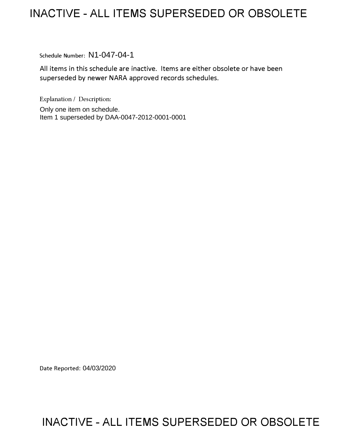## **INACTIVE -ALL ITEMS SUPERSEDED OR OBSOLETE**

Schedule Number: N1-047-04-1

All items in this schedule are inactive. Items are either obsolete or have been superseded by newer NARA approved records schedules.

Explanation/ Description:

Only one item on schedule. Item 1 superseded by DAA-0047-2012-0001-0001

Date Reported: 04/03/2020

## **INACTIVE -ALL ITEMS SUPERSEDED OR OBSOLETE**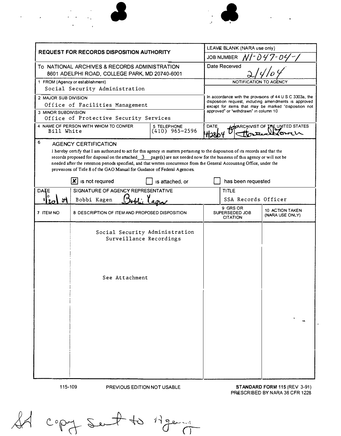

 $\label{eq:2.1} \begin{split} \mathcal{L}_{\text{max}}(\mathbf{r}) = \mathcal{L}_{\text{max}}(\mathbf{r}) \mathcal{L}_{\text{max}}(\mathbf{r}) \\ \mathcal{L}_{\text{max}}(\mathbf{r}) = \mathcal{L}_{\text{max}}(\mathbf{r}) \mathcal{L}_{\text{max}}(\mathbf{r}) \mathcal{L}_{\text{max}}(\mathbf{r}) \end{split}$ 

 $\mathbf{A}^{\mathrm{max}}$ 

 $\mathbf{r}$ 



 $\hat{\mathbf{z}}$ 

| LEAVE BLANK (NARA use only)                                                                                                                                                                                                                             |  |
|---------------------------------------------------------------------------------------------------------------------------------------------------------------------------------------------------------------------------------------------------------|--|
|                                                                                                                                                                                                                                                         |  |
|                                                                                                                                                                                                                                                         |  |
| NOTIFICATION TO                                                                                                                                                                                                                                         |  |
|                                                                                                                                                                                                                                                         |  |
| In accordance with the provisions of 44 U S C 3303a, the<br>disposition request, including amendments is approved                                                                                                                                       |  |
| except for items that may be marked "disposition not<br>approved" or "withdrawn" in column 10                                                                                                                                                           |  |
|                                                                                                                                                                                                                                                         |  |
| DATE<br><b>THE UNITED STATES</b><br><b>SUPARCHIVIST OF</b><br>๚วม                                                                                                                                                                                       |  |
|                                                                                                                                                                                                                                                         |  |
| I hereby certify that I am authorized to act for this agency in matters pertaining to the disposition of its records and that the                                                                                                                       |  |
| iecords proposed for disposal on the attached $3$ page(s) are not needed now for the business of this agency or will not be<br>needed after the retention periods specified, and that written concurrence from the General Accounting Office, under the |  |
|                                                                                                                                                                                                                                                         |  |
| has been requested                                                                                                                                                                                                                                      |  |
|                                                                                                                                                                                                                                                         |  |
| SSA Records Officer                                                                                                                                                                                                                                     |  |
| 10 ACTION TAKEN<br>(NARA USE ONLY)                                                                                                                                                                                                                      |  |
|                                                                                                                                                                                                                                                         |  |
|                                                                                                                                                                                                                                                         |  |
|                                                                                                                                                                                                                                                         |  |
|                                                                                                                                                                                                                                                         |  |

115-109

PREVIOUS EDITION NOT USABLE

STANDARD FORM 115 (REV 3-91) PRESCRIBED BY NARA 36 CFR 1228

copy sunt to Agen